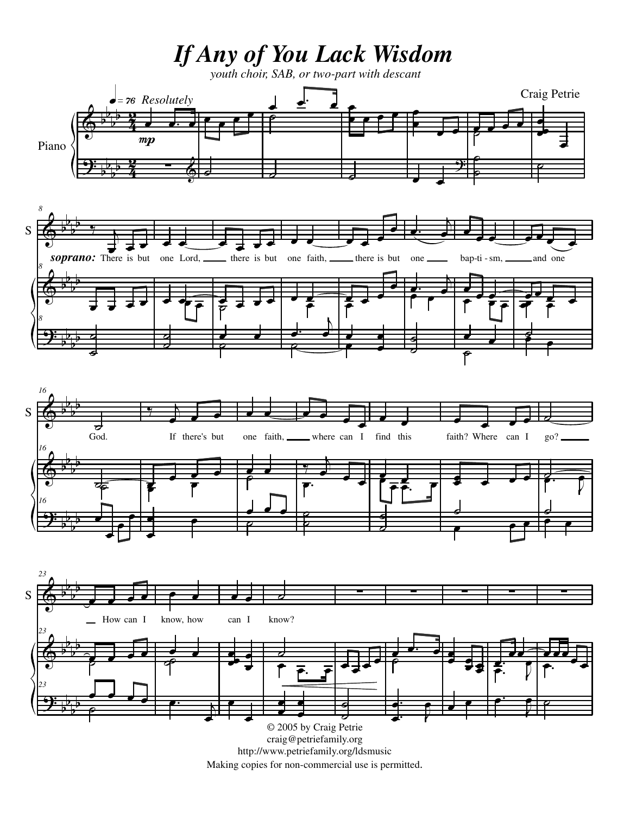*If Any of You Lack Wisdom*

*youth choir, SAB, or two-part with descant*

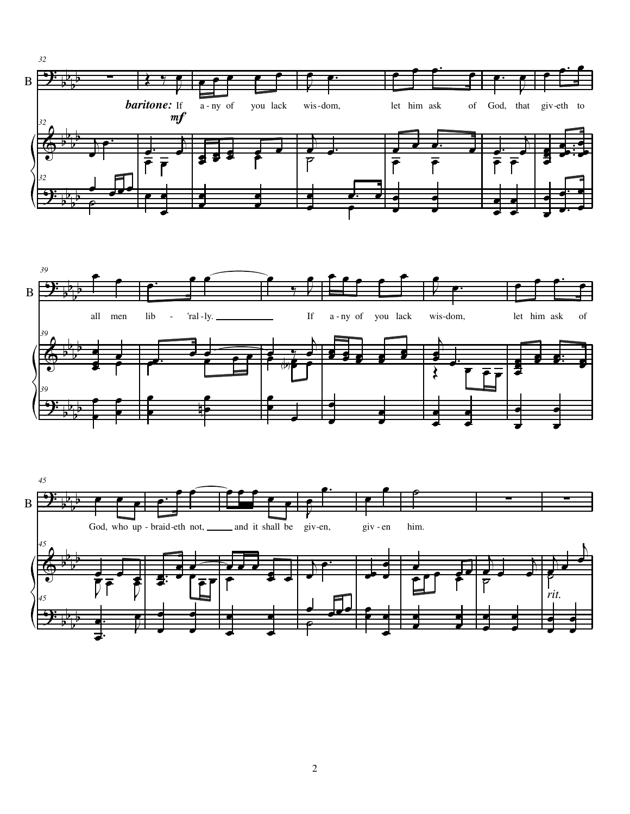





2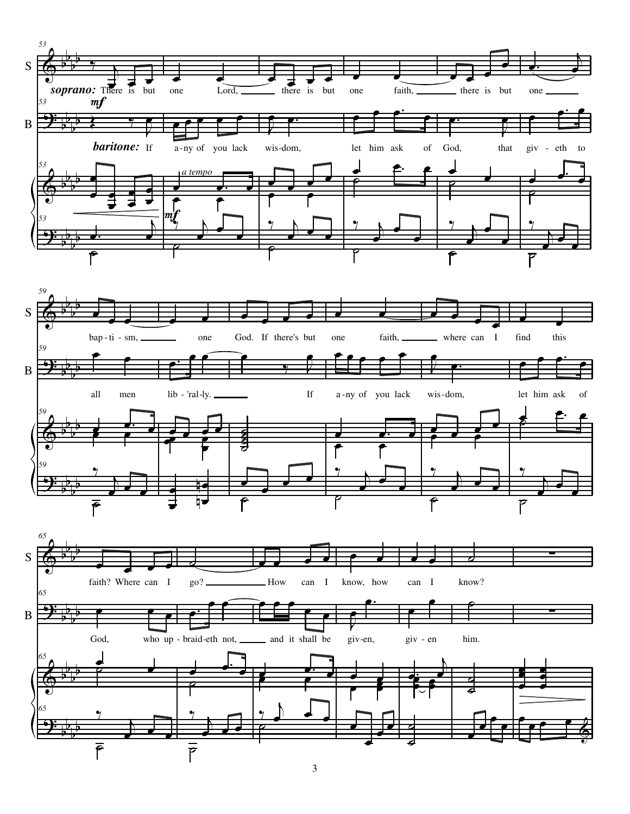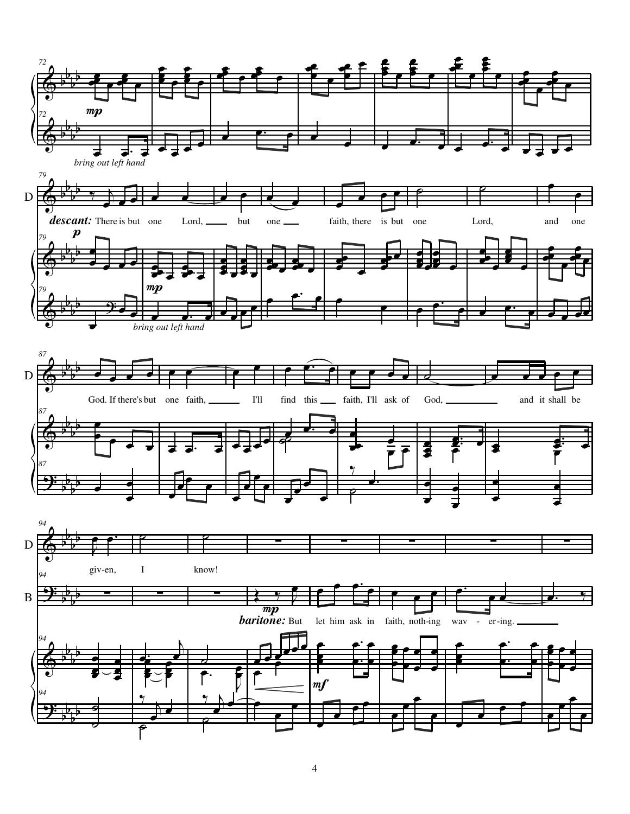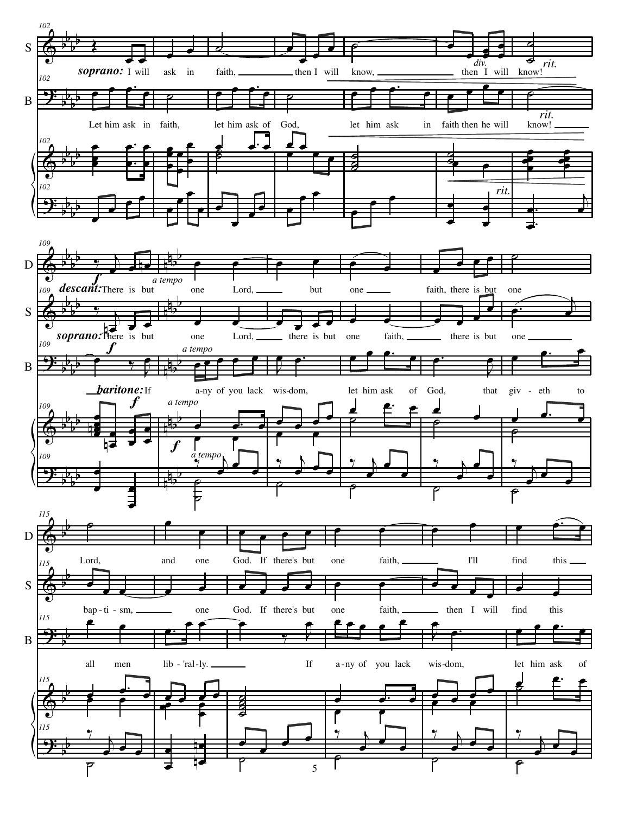